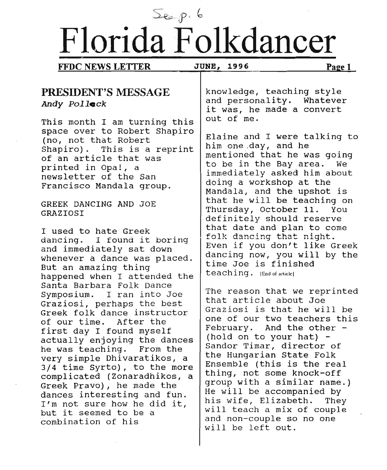# $S_{\epsilon_{\alpha}} p. 6$ **Florida Folkdancer**

**FFDC NEWS LETTER** JUNE, 1996 **Page 1** 

### **PRESIDENT'S MESSAGE** *Andy Pollock*

This month I am turning this space over to Robert Shapiro (no, not that Robert Shapiro). This is a reprint of an article that was printed in Opa!, a newsletter of the San Francisco Mandala group.

GREEK DANCING AND JOE GRAZIOSI

I used to hate Greek dancing. I found it boring and immediately sat down whenever a dance was placed. But an amazing thing happened when I attended the Santa Barbara Folk Dance Symposium. I ran into Joe Graziosi, perhaps the best Greek folk dance instructor of our time. After the first day I found myself actually enjoying the dances he was teaching. From the very simple Dhivaratikos, a<br>3/4 time Syrto), to the more complicated (Zonaradhikos, a Greek Pravo), he made the dances interesting and fuh. I'm not sure how he did it,<br>but it seemed to be a combination of his

knowledge, teaching style and personality. Whatever it was, he made a convert out of me.

Elaine and I were talking to him one .day, and he mentioned that he was going to be in the Bay area. We immediately asked him about doing a workshop at the Mandala, and the upshot is that he will be teaching on Thursday, October 11. You definitely should reserve that date and plan to come folk dancing that night. Even if you don't like Greek dancing now, you will by the time Joe is finished teaching. (End of article]

The reason that we reprinted that article about Joe Graziosi is that he will be one of our two teachers this February. And the other - (hold on to your hat) - Sandor Timar, director of the Hungarian State Folk Ensemble (this is the real thing, not some knock-off group with a similar name.) He will be accompanied by his wife, Elizabeth. They will teach a mix of couple and non-couple so no one will be left out.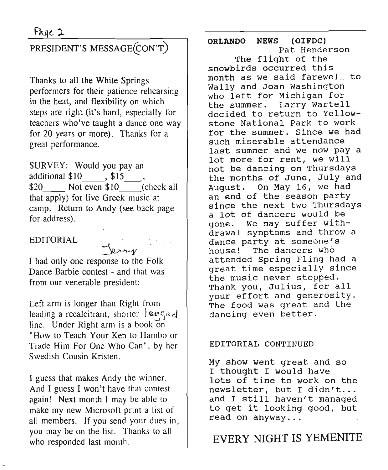# PRESIDENT'S MESSAGE(CON'T)

Thanks to all the White Springs performers for their patience rehearsing in the heat, and flexibility on which steps are right (it's hard, especially for teachers who've taught a dance one way for 20 years or more). Thanks for a great performance.

SURVEY: Would you pay an additional  $$10$ ,  $$15$ ,  $$20$  Not even  $$10$  (check all that apply) for live Greek music at camp. Return to Andy (see back page for address).

#### EDITORIAL

~ I had only one response to the Folk Dance Barbie contest - and that was from our venerable president:

Left arm is longer than Right from leading a recalcitrant, shorter  $\left| \alpha \right|$ line. Under Right arm is a book on "How to Teach Your Ken to Hambo or Trade Him For One Who Can", by her Swedish Cousin Kristen.

I guess that makes Andy the winner. And I guess I won't have that contest again! Next month I may be able to make my new Microsoft print a list of all members. If you send your dues in, you may be on the list. Thanks to all who responded last month.

ORLANDO NEWS (OIFDC) Pat Henderson The flight of the snowbirds occurred this month as we said farewell to Wally and Joan Washington who left for Michigan for the summer. Larry Wartell decided to return to Yellowstone National Park to work for the summer. Since we had such miserable attendance last summer and we now pay a lot more for rent, we will not be dancing on Thursdays the months of June, July and August. On May 16, we had an end of the season party since the next two Thursdays a lot of dancers would be gone. We may suffer withdrawal symptoms and throw a dance party at someone's house! The dancers who attended spring Fling had a .great time especially since the music never stopped. Thank you, Julius, for all your effort and generosity. The food was great and the dancing even better.

#### EDITORIAL CONTINUED

My show went great and so I thought I would have lots of time to work on the newsletter, but I didn't... and I still haven't managed to get it looking good, but read on anyway...

## EVERY NIGHT IS YEMENITE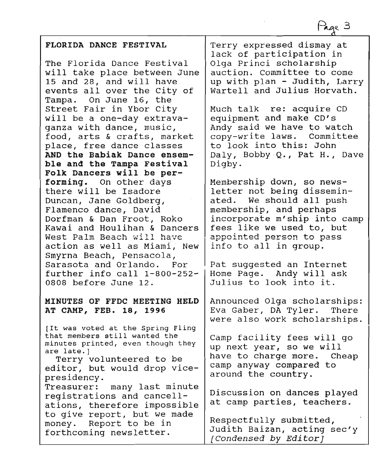Page 3

#### **FLORIDA DANCE FESTIVAL**

The Florida Dance Festival will take place between June 15 and 28, and will have events allover the city of Tampa. On June 16, the street Fair in Ybor city will be a one-day extravaganza with dance, music, food, arts & crafts, market place, free dance classes **AND the Babiak Dance ensemble and the Tampa Festival Folk Dancers will be performing.** On other days there will be Isadore Duncan, Jane Goldberg, Flamenco dance, David Dorfman & Dan Froot, Roko Kawai and Houlihan & Dancers West Palm Beach will haVE action as well as Miami; New Smyrna Beach, Pensacola, Sarasota and Orlando. For further info call 1-800-252- 0808 before June 12.

#### **MINUTES OF FFDC MEETING HELD AT CAMP, FEB. 18, 1996**

[It was voted at the Spring Fling that members still wanted the minutes printed, even though they are late.]

Terry volunteered to be editor, but would drop vicepresidency.

Treasurer: many last minute registrations and cancellations, therefore impossible to give report, but we made money. Report to be in forthcoming newsletter.

Terry expressed dismay at lack of participation in Olga Princi scholarship auction. committee to come up with plan - Judith, Larry Wartell and Julius Horvath.

Much talk re: acquire CD equipment and make CD's Andy said we have to watch copy-write laws. Committee to look into this: John Daly, Bobby Q., Pat H., Dave Digby.

Membership down, so newsletter not being disseminated. We should all push membership, and perhaps incorporate m'ship into camp fees like we used to, but .appointed person to pass info to all in group.

Pat suggested an Internet Home Page. Andy will ask Julius to look into it.

Announced Olga scholarships: Eva Gaber, DA Tyler. There were also work scholarships.

Camp facility fees will go up next year, so we will have to charge more. Cheap camp anyway compared to around the country.

Discussion on dances played at camp parties, teachers.

Respectfully submitted, Judith Baizan, acting sec'y *[Condensed by Editor]*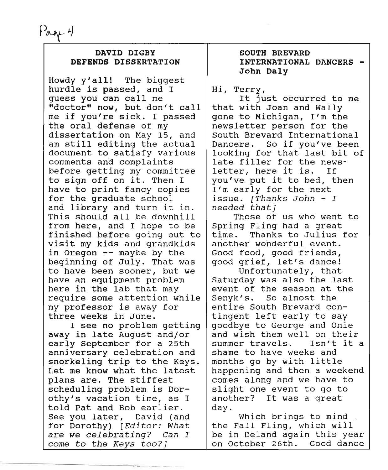Page 4

#### DAVID DIGBY DEFENDS DISSERTATION

Howdy y'all! The biggest hurdle is passed, and I guess you can call me "doctor" now, but don't call me if you're sick. I passed the oral defense of my dissertation on May 15, and am still editing the actual document to satisfy various comments and complaints before getting my committee to sign off on it. Then I have to print fancy copies for the graduate school and library and turn it in. This should all be downhill from here, and I hope to be finished before going out to visit my kids and grandkids in Oregon -- maybe by the beginning of July. That was to have been sooner, but we have an equipment problem here in the lab that may require some attention while my professor is away for three weeks in June.

I see no problem getting away in late August and/or early September for a 25th anniversary celebration and snorkeling trip to the Keys. Let me know what the latest plans are. The stiffest scheduling problem is Dorothy's vacation time, as I told Pat and Bob earlier. See you later, David (and for Dorothy) *[Editor: What* are *we celebrating? Can I come* to *the Keys too?]*

--------------------~-------

#### SOUTH BREVARD INTERNATIONAL DANCERS - John Daly

Hi, Terry,

It just occurred to me that with Joan and Wally gone to Michigan, I'm the newsletter person for the South Brevard International Dancers. So if you've been looking for that last bit of late filler for the newsletter, here it is. If you've put it to bed, then I'm early for the next issue. *[Thanks John - I needed that]*

Those of us who went to Spring Fling had a great time. Thanks to Julius for another wonderful event. Good food, good friends, good grief, let's dance!

Unfortunately, that Saturday was also the last event of the season at the Senyk's. So almost the entire South Brevard contingent left early to say goodbye to George and Onie and wish them well on their summer travels. Isn't it a shame to have weeks and months go by with little happening and then a weekend comes along and we have to slight one event to go to another? It was a great day.

Which brings to mind the Fall Fling, which will be in Deland again this year on October 26th. Good dance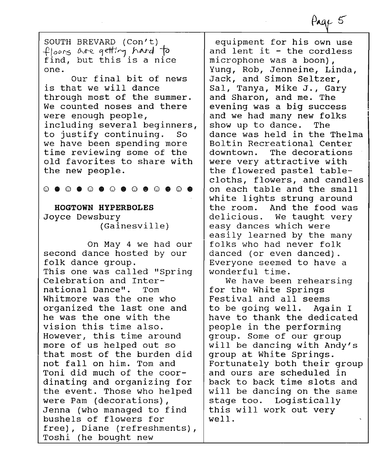SOUTH BREVARD (Con't) *~loo"6 o-s-« Cfdff, hArd* io find, but this is a nice one.

Our final bit of news is that we will dance through most of the summer. We counted noses and there were enough people, including several beginners, to justify continuing. So we have been spending more time reviewing some of the old favorites to share with the new people.

 $\odot$   $\bullet$   $\odot$   $\bullet$   $\odot$   $\bullet$   $\odot$   $\bullet$   $\odot$   $\bullet$   $\odot$   $\bullet$   $\odot$   $\bullet$ 

**HOGTOWN HYPERBOLES** Joyce Dewsbury (Gainesville)

On May 4 we had our second dance hosted by our folk dance group. This one was called "spring Celebration and International Dance". Tom Whitmore was the one who organized the last one and he was the one with the vision this time also. However, this time around more of us helped out so that most of the burden did not fallon him. Tom and Toni did much of the coordinating and organizing for the event. Those who helped were Pam (decorations), Jenna (who managed to find bushels of flowers for free) *<sup>I</sup>* Diane (refreshments), Toshi (he bought new

equipment for his own use and lent it - the cordless microphone was a boon), Yung, Rob, Jenneine, Linda, Jack, and Simon Seltzer, Sal, Tanya, Mike J., Gary and Sharon, and me. The evening was a big success and we had many new folks show up to dance. The dance was held in the Thelma Boltin Recreational Center downtown. The decorations were very attractive with the flowered pastel tablecloths, flowers, and candles on each table and the small white lights strung around the room. And the food was delicious. We taught very easy dances which were easily learned by the many folks who had never folk danced (or even danced) . Everyone seemed to have a wonderful time.

We have been rehearsing for the White springs Festival and all seems to be going well. Again I have to thank the dedicated people in the performing group. Some of our group will be dancing with Andy's group at White springs. Fortunately both their group and ours are scheduled in back to back time slots and will be dancing on the same stage too. Logistically this will work out very well.

Page 5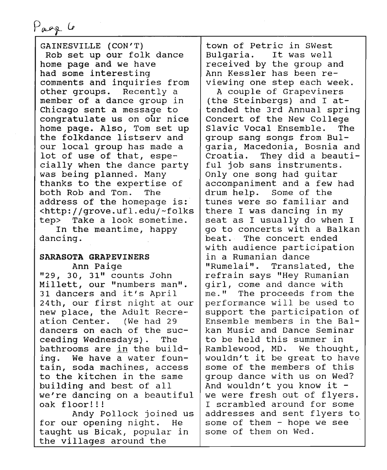Page 6

GAINESVILLE (CON'T) Rob set up our folk dance home page and we have had some interesting comments and inquiries from other groups. Recently a member of a dance group in chicago sent a message to congratulate us on our nice home page. Also, Tom set up the folkdance listserv and our local group has made a lot of use of that, especially when the dance party was being planned. Many thanks to the expertise of both Rob and Tom. The address of the homepage is: <http://grove.ufl.edu/-folks tep> Take a look sometime. In the meantime, happy

dancing.

#### SARASOTA GRAPEVINERS Ann Paige

"29, 30, 31" counts John Millett, our "numbers man". 31 dancers and it's April 24th, our first night at our new place, the Adult Recreation Center. (We had 29 dancers on each of the succeeding Wednesdays). The bathrooms are in the building. We have a water fountain, soda machines, access to the kitchen in the same building and best of all we're dancing on a beautiful oak floor!!! Andy Pollock joined us

for our opening night. He taught us Bicak, popular in the villages around the

town of Petrie in Swest Bulgaria. It was well received by the group and Ann Kessler has been reviewing one step each week.

A couple of Grapeviners (the steinbergs) and I attended the 3rd Annual spring Concert of the New College Slavic Vocal Ensemble. The group sang songs from Bulgaria, Macedonia, Bosnia and<br>Croatia. They did a beauti-They did a beautiful job sans instruments. Only one song had guitar accompaniment and a few had<br>drum help. Some of the drum help. tunes were so familiar and there I was dancing in my seat as I usually do when I go to concerts with a Balkan heat. The concert ended with audience participation in a Rumanian dance "Rumelai". Translated, the refrain says "Hey Rumanian girl, come and dance with me." The proceeds from the performance will be used to support the participation of Ensemble members in the Balkan Music and Dance Seminar to be held this summer in Ramblewood, MD. We thought, wouldn't it be great to have some of the members of this group dance with us on Wed? And wouldn't you know it we were fresh out of flyers. I scrambled around for some addresses and sent flyers to some of them  $-$  hope we see some of them on Wed.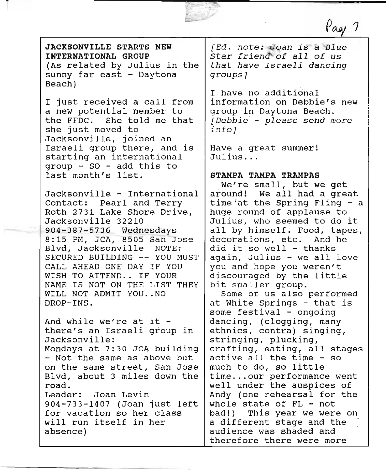JACKSONVILLE STARTS NEW INTERNATIONAL GROUP (As related by Julius in the sunny far east - Daytona

Beach)

I just received a call from a new potential member to the FFDC. She told me that she just moved to Jacksonville, joined an Israeli group there, and is starting an international group - SO - add this to last month's list.

Jacksonville - International Contact: Pearl and Terry Roth 2731 Lake Shore Drive, Jacksonville 32210 - 904-387-5736 Wednesdays 8:15 PM, JCA, 8505 San Jose Blvd, Jacksonville NOTE: SECURED BUILDING -- YOU MUST CALL AHEAD ONE DAY IF YOU WISH TO ATTEND.. IF YOUR NAME IS NOT ON THE LIST THEY WILL NOT ADMIT YOU..NO DROP-INS.

And while we're at it there's an Israeli group in Jacksonville: Mondays at 7:30 JCA building - Not the same as above but on the same street, San Jose Blvd, about 3 miles down the road. Leader: Joan Levin 904-733-1407 (Joan just left for vacation so her class will run itself in her absence)

*[Ed. note: Qan is-~ Blue* Star friend of all of us *that have Israeli dancing groups]*

ax:

Page 7

I have no additional information on Debbie's new group in Daytona Beach. *[Debbie - please send* more *info]*

Have a great summer! Julius ...

#### STAMPA TAMPA TRAMPAS

We're small, but we get around! We all had a great time at the Spring Fling  $-$  a huge round of applause to Julius, who seemed to do it all by himself. Food, tapes, decorations, etc. And he did it so well - thanks again, Julius - we all love you and hope you weren't discouraged by the little bit smaller group.

Some of us also performed at White springs - that is some festival - ongoing dancing, (clogging, many ethnics, contra) singing, stringing, plucking, crafting, eating, all stages active all the time - so much to do, so little time ...our performance went well under the auspices of Andy (one rehearsal for the whole state of FL - not bad!) This year we were on a different stage and the audience was shaded and therefore there were more